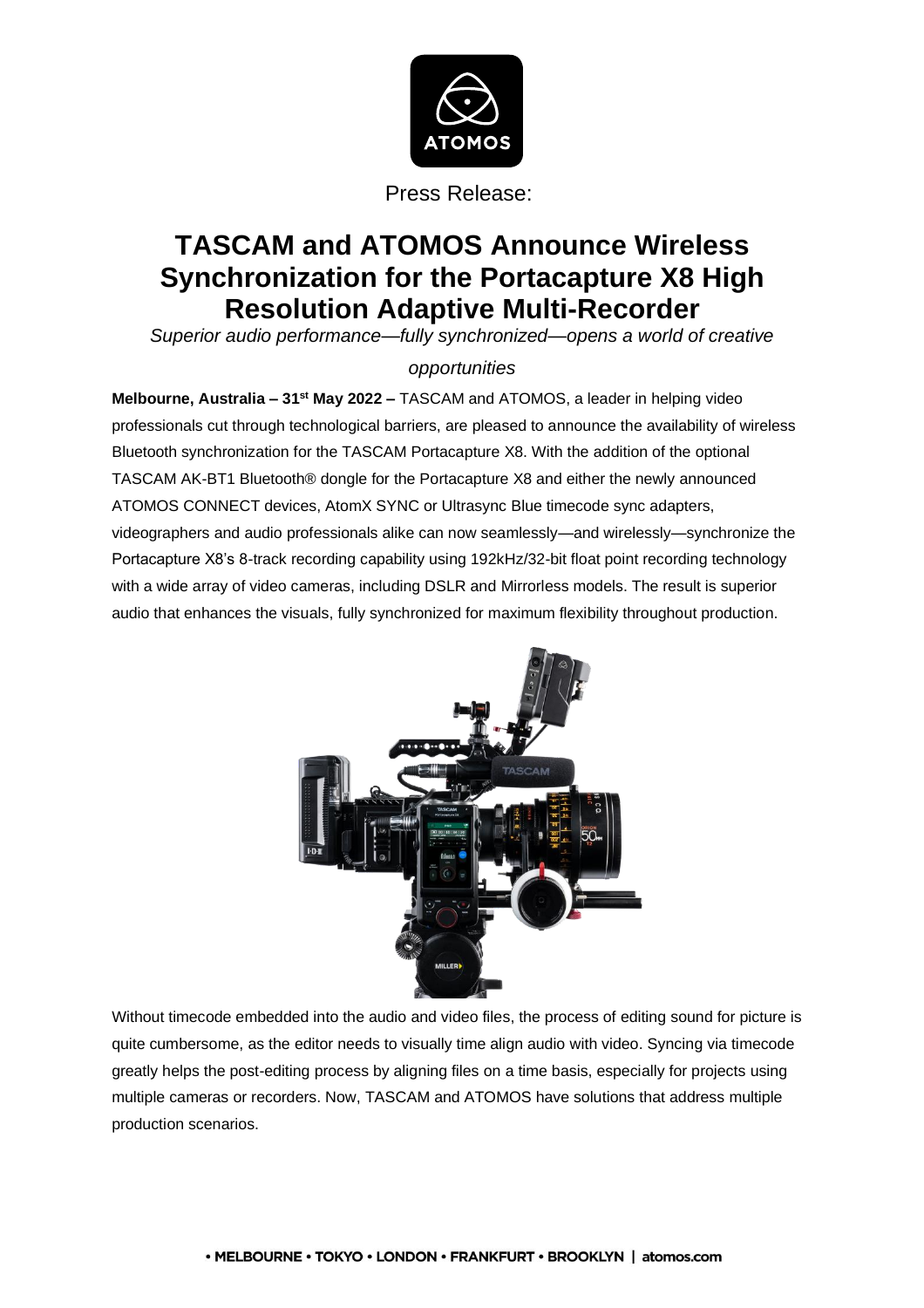

# **TASCAM and ATOMOS Announce Wireless Synchronization for the Portacapture X8 High Resolution Adaptive Multi-Recorder**

*Superior audio performance—fully synchronized—opens a world of creative* 

## *opportunities*

**Melbourne, Australia – 31st May 2022 –** TASCAM and ATOMOS, a leader in helping video professionals cut through technological barriers, are pleased to announce the availability of wireless Bluetooth synchronization for the TASCAM Portacapture X8. With the addition of the optional TASCAM AK-BT1 Bluetooth® dongle for the Portacapture X8 and either the newly announced ATOMOS CONNECT devices, AtomX SYNC or Ultrasync Blue timecode sync adapters, videographers and audio professionals alike can now seamlessly—and wirelessly—synchronize the Portacapture X8's 8-track recording capability using 192kHz/32-bit float point recording technology with a wide array of video cameras, including DSLR and Mirrorless models. The result is superior audio that enhances the visuals, fully synchronized for maximum flexibility throughout production.



Without timecode embedded into the audio and video files, the process of editing sound for picture is quite cumbersome, as the editor needs to visually time align audio with video. Syncing via timecode greatly helps the post-editing process by aligning files on a time basis, especially for projects using multiple cameras or recorders. Now, TASCAM and ATOMOS have solutions that address multiple production scenarios.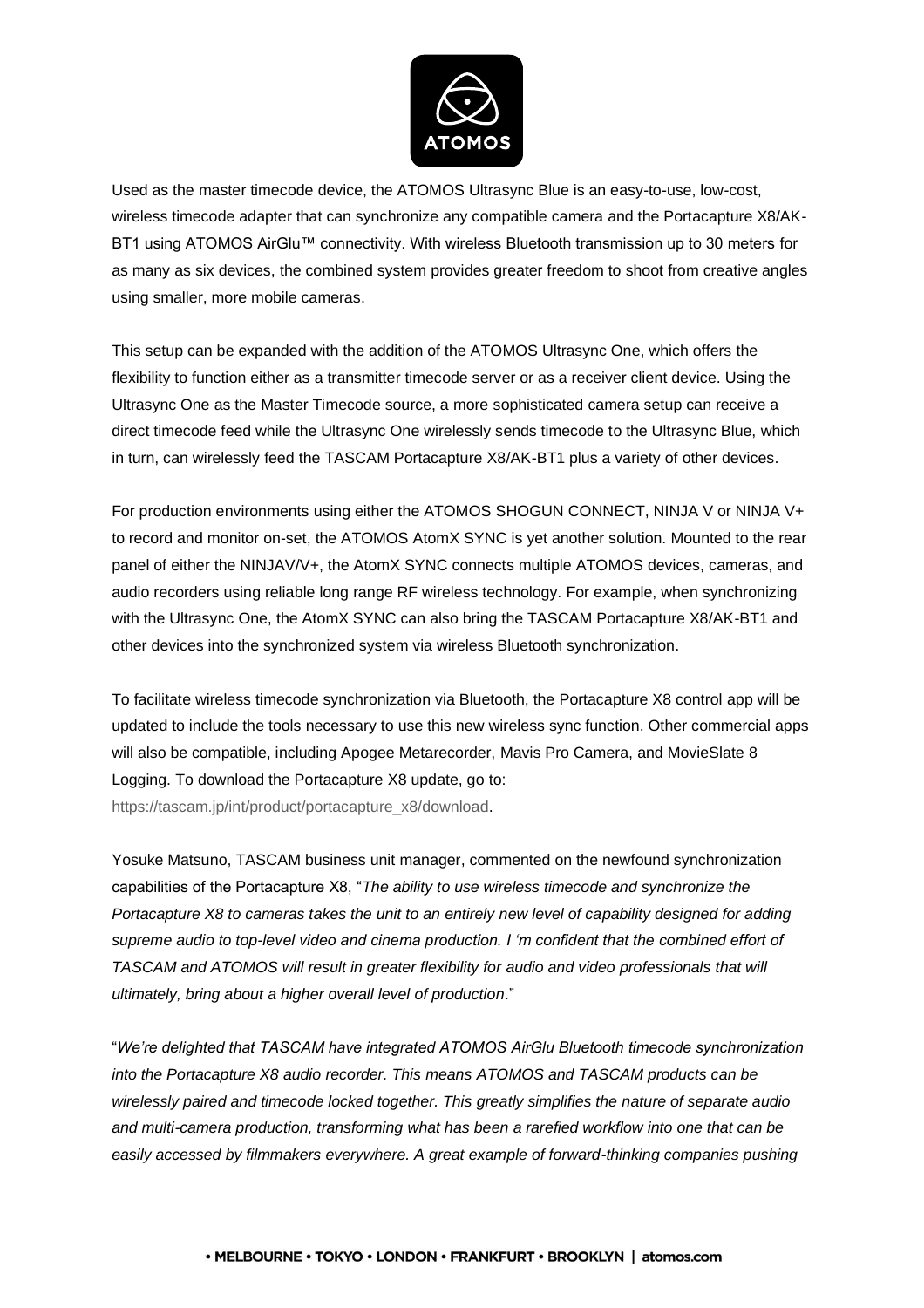

Used as the master timecode device, the ATOMOS Ultrasync Blue is an easy-to-use, low-cost, wireless timecode adapter that can synchronize any compatible camera and the Portacapture X8/AK-BT1 using ATOMOS AirGlu™ connectivity. With wireless Bluetooth transmission up to 30 meters for as many as six devices, the combined system provides greater freedom to shoot from creative angles using smaller, more mobile cameras.

This setup can be expanded with the addition of the ATOMOS Ultrasync One, which offers the flexibility to function either as a transmitter timecode server or as a receiver client device. Using the Ultrasync One as the Master Timecode source, a more sophisticated camera setup can receive a direct timecode feed while the Ultrasync One wirelessly sends timecode to the Ultrasync Blue, which in turn, can wirelessly feed the TASCAM Portacapture X8/AK-BT1 plus a variety of other devices.

For production environments using either the ATOMOS SHOGUN CONNECT, NINJA V or NINJA V+ to record and monitor on-set, the ATOMOS AtomX SYNC is yet another solution. Mounted to the rear panel of either the NINJAV/V+, the AtomX SYNC connects multiple ATOMOS devices, cameras, and audio recorders using reliable long range RF wireless technology. For example, when synchronizing with the Ultrasync One, the AtomX SYNC can also bring the TASCAM Portacapture X8/AK-BT1 and other devices into the synchronized system via wireless Bluetooth synchronization.

To facilitate wireless timecode synchronization via Bluetooth, the Portacapture X8 control app will be updated to include the tools necessary to use this new wireless sync function. Other commercial apps will also be compatible, including Apogee Metarecorder, Mavis Pro Camera, and MovieSlate 8 Logging. To download the Portacapture X8 update, go to: [https://tascam.jp/int/product/portacapture\\_x8/download.](https://tascam.jp/int/product/portacapture_x8/download)

Yosuke Matsuno, TASCAM business unit manager, commented on the newfound synchronization capabilities of the Portacapture X8, "*The ability to use wireless timecode and synchronize the Portacapture X8 to cameras takes the unit to an entirely new level of capability designed for adding supreme audio to top-level video and cinema production. I 'm confident that the combined effort of TASCAM and ATOMOS will result in greater flexibility for audio and video professionals that will ultimately, bring about a higher overall level of production*."

"*We're delighted that TASCAM have integrated ATOMOS AirGlu Bluetooth timecode synchronization into the Portacapture X8 audio recorder. This means ATOMOS and TASCAM products can be wirelessly paired and timecode locked together. This greatly simplifies the nature of separate audio and multi-camera production, transforming what has been a rarefied workflow into one that can be easily accessed by filmmakers everywhere. A great example of forward-thinking companies pushing*